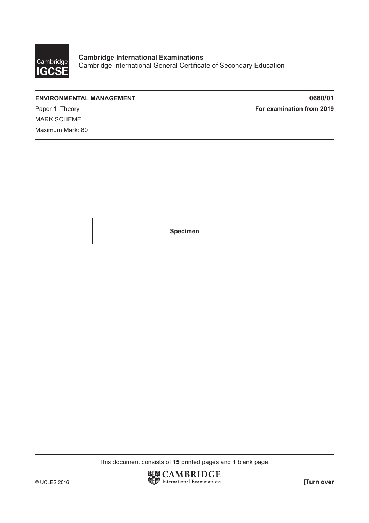

**ENVIRONMENTAL MANAGEMENT 0680/01** Paper 1 Theory **For examination from 2019** MARK SCHEME Maximum Mark: 80

**Specimen**

This document consists of **15** printed pages and **1** blank page.

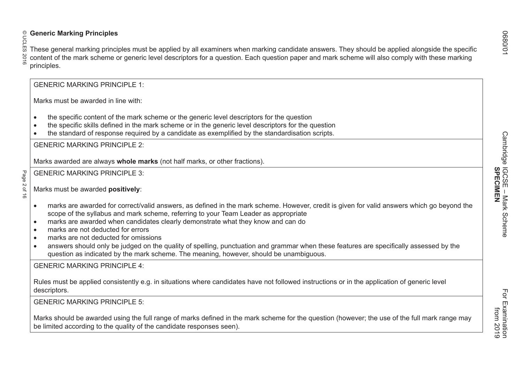Solution Marking Principles<br>
Solution Marking principles<br>
Solution Section Section Section and the mark scheme or generic level descriptors for a question. Each question paper and mark scheme will also comply with these m • marks are awarded for correct/valid answers, as defined in the mark scheme. However, credit is given for valid answers which go beyond the scope of the syllabus and mark scheme, referring to your Team Leader as appropriate • marks are awarded when candidates clearly demonstrate what they know and can do • marks are not deducted for errors• marks are not deducted for omissions• answers should only be judged on the quality of spelling, punctuation and grammar when these features are specifically assessed by the question as indicated by the mark scheme. The meaning, however, should be unambiguous. GENERIC MARKING PRINCIPLE 4:Rules must be applied consistently e.g. in situations where candidates have not followed instructions or in the application of generic level descriptors. GENERIC MARKING PRINCIPLE 5:Marks should be awarded using the full range of marks defined in the mark scheme for the question (however; the use of the full mark range may be limited according to the quality of the candidate responses seen).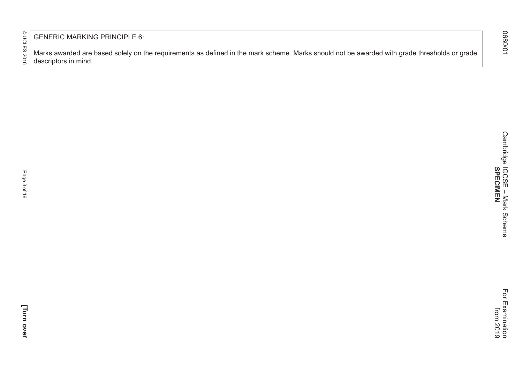GENERIC MARKING PRINCIPLE 6:

Marks awarded are based solely on the requirements as defined in the mark scheme. Marks should not be awarded with grade thresholds or grade descriptors in mind.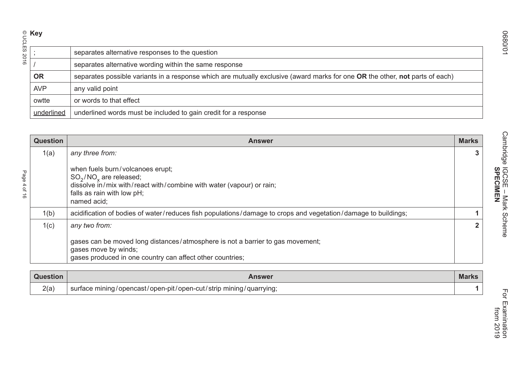|                             | $\frac{1}{\sum_{n=1}^{\infty} a_n}$ |                                                                                                                                                                     |              |
|-----------------------------|-------------------------------------|---------------------------------------------------------------------------------------------------------------------------------------------------------------------|--------------|
|                             |                                     | separates alternative responses to the question                                                                                                                     |              |
| 2016                        |                                     | separates alternative wording within the same response                                                                                                              |              |
|                             | <b>OR</b>                           | separates possible variants in a response which are mutually exclusive (award marks for one OR the other, not parts of each)                                        |              |
|                             | <b>AVP</b>                          | any valid point                                                                                                                                                     |              |
|                             | owtte                               | or words to that effect                                                                                                                                             |              |
|                             | underlined                          | underlined words must be included to gain credit for a response                                                                                                     |              |
|                             |                                     |                                                                                                                                                                     |              |
|                             | <b>Question</b>                     | <b>Answer</b>                                                                                                                                                       | <b>Marks</b> |
|                             | 1(a)                                | any three from:                                                                                                                                                     |              |
| age<br>40 <sup>†</sup><br>ಕ |                                     | when fuels burn/volcanoes erupt;<br>$SO_2/NO_x$ are released;<br>dissolve in/mix with/react with/combine with water (vapour) or rain;<br>falls as rain with low pH; |              |

| <b>Question</b> | <b>Answer</b>                                                                                                                                                                      | <b>Marks</b> |
|-----------------|------------------------------------------------------------------------------------------------------------------------------------------------------------------------------------|--------------|
| 1(a)            | any three from:                                                                                                                                                                    |              |
|                 | when fuels burn/volcanoes erupt;<br>$SO_2/NO_x$ are released;<br>dissolve in/mix with/react with/combine with water (vapour) or rain;<br>falls as rain with low pH;<br>named acid; |              |
| 1(b)            | acidification of bodies of water/reduces fish populations/damage to crops and vegetation/damage to buildings;                                                                      |              |
| 1(c)            | any two from:                                                                                                                                                                      |              |
|                 | gases can be moved long distances/atmosphere is not a barrier to gas movement;<br>gases move by winds;<br>gases produced in one country can affect other countries;                |              |

| Question | Answer                                                                                | <b>Marks</b> |
|----------|---------------------------------------------------------------------------------------|--------------|
| 2(a)     | › mining <i>/</i> quarrying;<br>/opencast/open-pit/open-cut/strip n<br>surface mining |              |

O680/01 Cambridge IGCSE – Mark Scheme For Examination Cambridge IGCSE - Mark Scheme<br>SPECIMEN **SPECIMEN**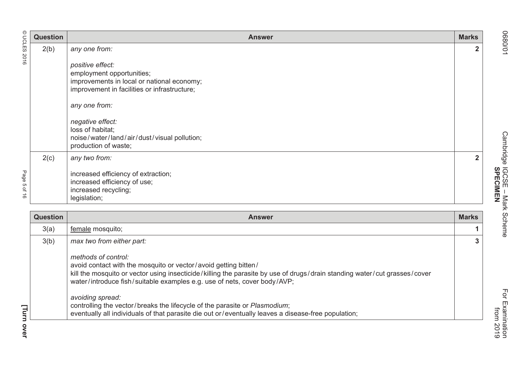|                                                             | Question | <b>Answer</b>                                                                                                                                                                                                                                                        | <b>Marks</b>   |
|-------------------------------------------------------------|----------|----------------------------------------------------------------------------------------------------------------------------------------------------------------------------------------------------------------------------------------------------------------------|----------------|
| © UCLES 2016                                                | 2(b)     | any one from:<br>positive effect:<br>employment opportunities;<br>improvements in local or national economy;<br>improvement in facilities or infrastructure;<br>any one from:<br>negative effect:<br>loss of habitat;<br>noise/water/land/air/dust/visual pollution; | $\overline{2}$ |
| Page<br><b>ຕາ</b><br>$\ensuremath{\mathsf{S}}$<br>$\vec{0}$ | 2(c)     | production of waste;<br>any two from:<br>increased efficiency of extraction;<br>increased efficiency of use;<br>increased recycling;<br>legislation;                                                                                                                 | $\mathbf{2}$   |
|                                                             | Question | <b>Answer</b>                                                                                                                                                                                                                                                        | <b>Marks</b>   |

| <b>Question</b> | <b>Answer</b>                                                                                                                                                                                                                                                                                                                                                                                                                                                                                            | <b>Marks</b> |
|-----------------|----------------------------------------------------------------------------------------------------------------------------------------------------------------------------------------------------------------------------------------------------------------------------------------------------------------------------------------------------------------------------------------------------------------------------------------------------------------------------------------------------------|--------------|
| 3(a)            | female mosquito;                                                                                                                                                                                                                                                                                                                                                                                                                                                                                         |              |
| 3(b)            | max two from either part:                                                                                                                                                                                                                                                                                                                                                                                                                                                                                | 3            |
|                 | methods of control:<br>avoid contact with the mosquito or vector/avoid getting bitten/<br>kill the mosquito or vector using insecticide/killing the parasite by use of drugs/drain standing water/cut grasses/cover<br>water/introduce fish/suitable examples e.g. use of nets, cover body/AVP;<br>avoiding spread:<br>controlling the vector/breaks the lifecycle of the parasite or Plasmodium;<br>eventually all individuals of that parasite die out or/eventually leaves a disease-free population; |              |

**SPECIMEN**

Cambridge IGCSE - Mark Scheme<br>SPECIMEN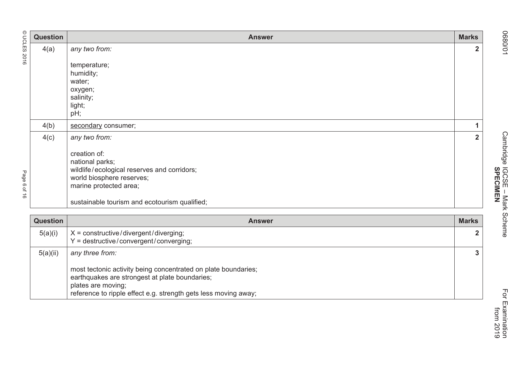|                             | <b>Question</b> | <b>Answer</b>                                                                         | <b>Marks</b>   |
|-----------------------------|-----------------|---------------------------------------------------------------------------------------|----------------|
|                             | 4(a)            | any two from:                                                                         | $\overline{2}$ |
| © UCLES 2016<br>age 6 of 16 |                 | temperature;                                                                          |                |
|                             |                 | humidity;                                                                             |                |
|                             |                 | water;                                                                                |                |
|                             |                 | oxygen;<br>salinity;                                                                  |                |
|                             |                 | light;                                                                                |                |
|                             |                 | pH;                                                                                   |                |
|                             | 4(b)            | secondary consumer;                                                                   | 1              |
|                             | 4(c)            | any two from:                                                                         | $\overline{2}$ |
|                             |                 | creation of:                                                                          |                |
|                             |                 | national parks;                                                                       |                |
|                             |                 | wildlife/ecological reserves and corridors;                                           |                |
|                             |                 | world biosphere reserves;<br>marine protected area;                                   |                |
|                             |                 |                                                                                       |                |
|                             |                 | sustainable tourism and ecotourism qualified;                                         |                |
|                             | <b>Question</b> | <b>Answer</b>                                                                         | <b>Marks</b>   |
|                             | 5(a)(i)         | $X =$ constructive/divergent/diverging;                                               | $\overline{2}$ |
|                             |                 | $Y =$ destructive/convergent/converging;                                              |                |
|                             | 5(a)(ii)        | any three from:                                                                       | $\overline{3}$ |
|                             |                 | most tectonic activity being concentrated on plate boundaries;                        |                |
|                             |                 | earthquakes are strongest at plate boundaries;                                        |                |
|                             |                 | plates are moving;<br>reference to ripple effect e.g. strength gets less moving away; |                |
|                             |                 |                                                                                       |                |

O680/01 Cambridge IGCSE – Mark Scheme For Examination Cambridge IGCSE - Mark Scheme<br>
SPECIMEN **SPECIMEN**

 from 2019 For Examination<br>from 2019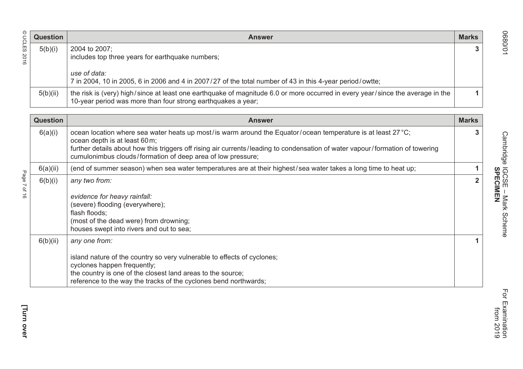| <b>Question</b> | <b>Answer</b>                                                                                                                                                                                  | <b>Marks</b> |
|-----------------|------------------------------------------------------------------------------------------------------------------------------------------------------------------------------------------------|--------------|
| 5(b)(i)         | 2004 to 2007;                                                                                                                                                                                  |              |
|                 | includes top three years for earthquake numbers;                                                                                                                                               |              |
|                 | use of data:                                                                                                                                                                                   |              |
|                 | 7 in 2004, 10 in 2005, 6 in 2006 and 4 in 2007/27 of the total number of 43 in this 4-year period/owtte;                                                                                       |              |
| 5(b)(ii)        | the risk is (very) high/since at least one earthquake of magnitude 6.0 or more occurred in every year/since the average in the<br>10-year period was more than four strong earthquakes a year; |              |

|              | <b>Question</b> | <b>Answer</b>                                                                                                                                                                                                                                                                                                                                 | <b>Marks</b> |
|--------------|-----------------|-----------------------------------------------------------------------------------------------------------------------------------------------------------------------------------------------------------------------------------------------------------------------------------------------------------------------------------------------|--------------|
| © UCLES 2016 | 5(b)(i)         | 2004 to 2007;<br>includes top three years for earthquake numbers;                                                                                                                                                                                                                                                                             | 3            |
|              |                 | use of data:<br>7 in 2004, 10 in 2005, 6 in 2006 and 4 in 2007/27 of the total number of 43 in this 4-year period/owtte;                                                                                                                                                                                                                      |              |
|              | 5(b)(ii)        | the risk is (very) high/since at least one earthquake of magnitude 6.0 or more occurred in every year/since the average in the<br>10-year period was more than four strong earthquakes a year;                                                                                                                                                | 1.           |
|              | <b>Question</b> | <b>Answer</b>                                                                                                                                                                                                                                                                                                                                 | <b>Marks</b> |
|              | 6(a)(i)         | ocean location where sea water heats up most/is warm around the Equator/ocean temperature is at least 27 °C;<br>ocean depth is at least 60 m;<br>further details about how this triggers off rising air currents/leading to condensation of water vapour/formation of towering<br>cumulonimbus clouds/formation of deep area of low pressure; | 3.           |
|              | 6(a)(ii)        | (end of summer season) when sea water temperatures are at their highest/sea water takes a long time to heat up;                                                                                                                                                                                                                               | 1            |
| Page 7 of 16 | 6(b)(i)         | any two from:<br>evidence for heavy rainfall:<br>(severe) flooding (everywhere);<br>flash floods;<br>(most of the dead were) from drowning;<br>houses swept into rivers and out to sea;                                                                                                                                                       | $\mathbf{2}$ |
|              | 6(b)(ii)        | any one from:<br>island nature of the country so very vulnerable to effects of cyclones;<br>cyclones happen frequently;<br>the country is one of the closest land areas to the source;<br>reference to the way the tracks of the cyclones bend northwards;                                                                                    |              |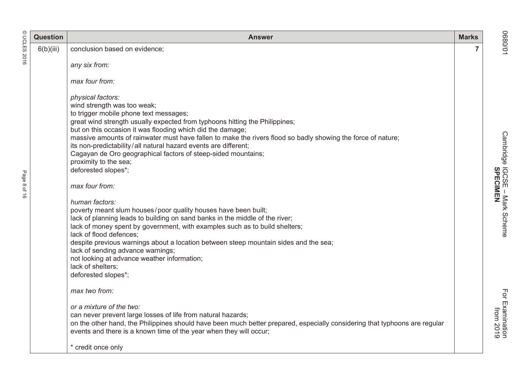|              | <b>Question</b> | <b>Answer</b>                                                                                                                                                                                                                                                                                                                                                                                                                                                                                                                                                                                                                                                                                                                                                                                                    | <b>Marks</b> |                                                                |
|--------------|-----------------|------------------------------------------------------------------------------------------------------------------------------------------------------------------------------------------------------------------------------------------------------------------------------------------------------------------------------------------------------------------------------------------------------------------------------------------------------------------------------------------------------------------------------------------------------------------------------------------------------------------------------------------------------------------------------------------------------------------------------------------------------------------------------------------------------------------|--------------|----------------------------------------------------------------|
| <b>UCLES</b> | 6(b)(iii)       | conclusion based on evidence;                                                                                                                                                                                                                                                                                                                                                                                                                                                                                                                                                                                                                                                                                                                                                                                    | 7            | 10/0890                                                        |
| 2016         |                 | any six from:                                                                                                                                                                                                                                                                                                                                                                                                                                                                                                                                                                                                                                                                                                                                                                                                    |              |                                                                |
|              |                 | max four from:                                                                                                                                                                                                                                                                                                                                                                                                                                                                                                                                                                                                                                                                                                                                                                                                   |              |                                                                |
| Page 8 of 16 |                 | physical factors:<br>wind strength was too weak;<br>to trigger mobile phone text messages;<br>great wind strength usually expected from typhoons hitting the Philippines;<br>but on this occasion it was flooding which did the damage;<br>massive amounts of rainwater must have fallen to make the rivers flood so badly showing the force of nature;<br>its non-predictability/all natural hazard events are different;<br>Cagayan de Oro geographical factors of steep-sided mountains;<br>proximity to the sea;<br>deforested slopes*;<br>max four from:<br>human factors:<br>poverty meant slum houses/poor quality houses have been built;<br>lack of planning leads to building on sand banks in the middle of the river;<br>lack of money spent by government, with examples such as to build shelters; |              | Cambridge IGCSE - Mark Scheme<br>Cambridge IGCSE - Mark Scheme |
|              |                 | lack of flood defences;<br>despite previous warnings about a location between steep mountain sides and the sea;<br>lack of sending advance warnings;<br>not looking at advance weather information;<br>lack of shelters;<br>deforested slopes*;<br>max two from:<br>or a mixture of the two:<br>can never prevent large losses of life from natural hazards;<br>on the other hand, the Philippines should have been much better prepared, especially considering that typhoons are regular                                                                                                                                                                                                                                                                                                                       |              | For Examination<br>from 2019                                   |
|              |                 | events and there is a known time of the year when they will occur;<br>* credit once only                                                                                                                                                                                                                                                                                                                                                                                                                                                                                                                                                                                                                                                                                                                         |              |                                                                |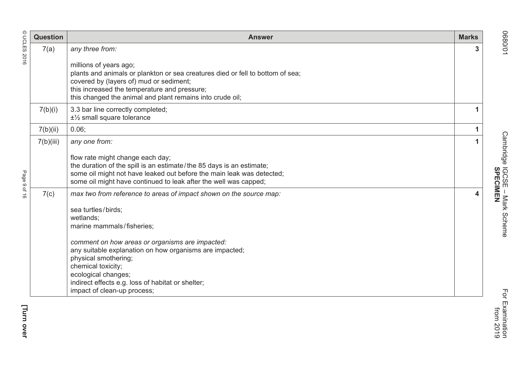| $\odot$              | <b>Question</b> | <b>Answer</b>                                                                                                                                                                                                                                                       | <b>Marks</b> |
|----------------------|-----------------|---------------------------------------------------------------------------------------------------------------------------------------------------------------------------------------------------------------------------------------------------------------------|--------------|
| <b>UCLES</b><br>2016 | 7(a)            | any three from:                                                                                                                                                                                                                                                     | 3            |
|                      |                 | millions of years ago;<br>plants and animals or plankton or sea creatures died or fell to bottom of sea;<br>covered by (layers of) mud or sediment;<br>this increased the temperature and pressure;<br>this changed the animal and plant remains into crude oil;    |              |
|                      | 7(b)(i)         | 3.3 bar line correctly completed;<br>$±\frac{1}{2}$ small square tolerance                                                                                                                                                                                          | 1            |
|                      | 7(b)(ii)        | $0.06$ ;                                                                                                                                                                                                                                                            | $\mathbf{1}$ |
|                      | 7(b)(iii)       | any one from:                                                                                                                                                                                                                                                       | 1            |
| Page                 |                 | flow rate might change each day;<br>the duration of the spill is an estimate/the 85 days is an estimate;<br>some oil might not have leaked out before the main leak was detected;<br>some oil might have continued to leak after the well was capped;               |              |
| 9 0 1 1 0            | 7(c)            | max two from reference to areas of impact shown on the source map:                                                                                                                                                                                                  | 4            |
|                      |                 | sea turtles/birds;<br>wetlands;<br>marine mammals/fisheries;                                                                                                                                                                                                        |              |
|                      |                 | comment on how areas or organisms are impacted:<br>any suitable explanation on how organisms are impacted;<br>physical smothering;<br>chemical toxicity;<br>ecological changes;<br>indirect effects e.g. loss of habitat or shelter;<br>impact of clean-up process; |              |

O680/01 Cambridge IGCSE – Mark Scheme For Examination Cambridge IGCSE - Mark Scheme<br>SPECIMEN **SPECIMEN**from 2019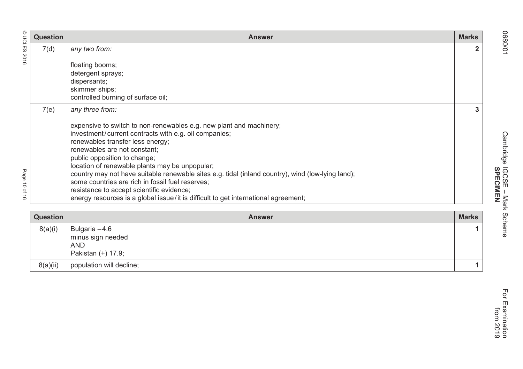| © UCLES            | <b>Question</b> | <b>Answer</b>                                                                                                                                                                                                                                                                                                                                                                                                                                                                                                                                                                  | <b>Marks</b>   |
|--------------------|-----------------|--------------------------------------------------------------------------------------------------------------------------------------------------------------------------------------------------------------------------------------------------------------------------------------------------------------------------------------------------------------------------------------------------------------------------------------------------------------------------------------------------------------------------------------------------------------------------------|----------------|
| 2016               | 7(d)            | any two from:                                                                                                                                                                                                                                                                                                                                                                                                                                                                                                                                                                  | $\overline{2}$ |
|                    |                 | floating booms;                                                                                                                                                                                                                                                                                                                                                                                                                                                                                                                                                                |                |
|                    |                 | detergent sprays;                                                                                                                                                                                                                                                                                                                                                                                                                                                                                                                                                              |                |
|                    |                 | dispersants;                                                                                                                                                                                                                                                                                                                                                                                                                                                                                                                                                                   |                |
|                    |                 | skimmer ships;<br>controlled burning of surface oil;                                                                                                                                                                                                                                                                                                                                                                                                                                                                                                                           |                |
|                    | 7(e)            | any three from:                                                                                                                                                                                                                                                                                                                                                                                                                                                                                                                                                                | 3              |
| Page<br>10 01<br>ಕ |                 | expensive to switch to non-renewables e.g. new plant and machinery;<br>investment/current contracts with e.g. oil companies;<br>renewables transfer less energy;<br>renewables are not constant;<br>public opposition to change;<br>location of renewable plants may be unpopular;<br>country may not have suitable renewable sites e.g. tidal (inland country), wind (low-lying land);<br>some countries are rich in fossil fuel reserves;<br>resistance to accept scientific evidence;<br>energy resources is a global issue/it is difficult to get international agreement; |                |
|                    | <b>Question</b> | <b>Answer</b>                                                                                                                                                                                                                                                                                                                                                                                                                                                                                                                                                                  | <b>Marks</b>   |
|                    | 8(a)(i)         | Bulgaria -4.6<br>minus sign needed<br><b>AND</b><br>Pakistan (+) 17.9;                                                                                                                                                                                                                                                                                                                                                                                                                                                                                                         | 1              |

 $8(a)(ii)$  population will decline; **1**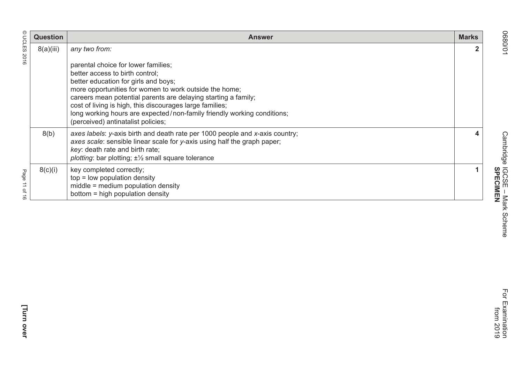|                                                   | <b>Question</b> | <b>Answer</b>                                                                                                                                                                                                                                                                                                                                                                                      | <b>Marks</b> |
|---------------------------------------------------|-----------------|----------------------------------------------------------------------------------------------------------------------------------------------------------------------------------------------------------------------------------------------------------------------------------------------------------------------------------------------------------------------------------------------------|--------------|
| © UCLES 2016                                      | 8(a)(iii)       | any two from:<br>parental choice for lower families;<br>better access to birth control;<br>better education for girls and boys;<br>more opportunities for women to work outside the home;<br>careers mean potential parents are delaying starting a family;<br>cost of living is high, this discourages large families;<br>long working hours are expected/non-family friendly working conditions; |              |
|                                                   | 8(b)            | (perceived) antinatalist policies;<br>axes labels: y-axis birth and death rate per 1000 people and x-axis country;<br>axes scale: sensible linear scale for y-axis using half the graph paper;<br>key: death rate and birth rate;<br>plotting: bar plotting; $\pm\frac{1}{2}$ small square tolerance                                                                                               |              |
| Page<br>$\Rightarrow$<br>$\vec{\sigma}$<br>→<br>σ | 8(c)(i)         | key completed correctly;<br>$top = low population density$<br>middle = medium population density<br>bottom = high population density                                                                                                                                                                                                                                                               |              |

O680/01 Cambridge IGCSE – Mark Scheme For Examination from 2019 For Examination<br>from 2019

**SPECIMEN**

Cambridge IGCSE - Mark Scheme<br>SPECIMEN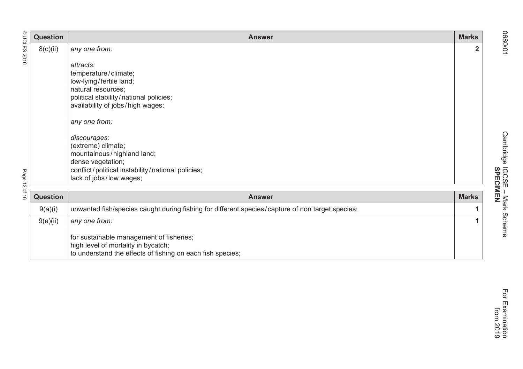|                       | <b>Question</b> | <b>Answer</b>                                                                                                                                                         | <b>Marks</b>   |
|-----------------------|-----------------|-----------------------------------------------------------------------------------------------------------------------------------------------------------------------|----------------|
| © UCLES 2016          | 8(c)(ii)        | any one from:                                                                                                                                                         | $\overline{2}$ |
|                       |                 | attracts:<br>temperature/climate;<br>low-lying/fertile land;<br>natural resources;<br>political stability/national policies;<br>availability of jobs/high wages;      |                |
|                       |                 | any one from:                                                                                                                                                         |                |
| Page<br>$\vec{\circ}$ |                 | discourages:<br>(extreme) climate;<br>mountainous/highland land;<br>dense vegetation;<br>conflict/political instability/national policies;<br>lack of jobs/low wages; |                |
| of 16                 | <b>Question</b> | <b>Answer</b>                                                                                                                                                         | <b>Marks</b>   |
|                       | 9(a)(i)         | unwanted fish/species caught during fishing for different species/capture of non target species;                                                                      |                |
|                       | 9(a)(ii)        | any one from:                                                                                                                                                         |                |
|                       |                 | for sustainable management of fisheries;<br>high level of mortality in bycatch;<br>to understand the effects of fishing on each fish species;                         |                |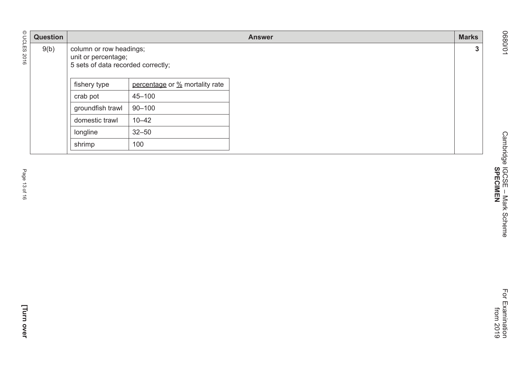|               | Question |                                                                                      |                                | <b>Answer</b> | <b>Marks</b> |
|---------------|----------|--------------------------------------------------------------------------------------|--------------------------------|---------------|--------------|
| © UCLES 2016  | 9(b)     | column or row headings;<br>unit or percentage;<br>5 sets of data recorded correctly; |                                |               | $\mathbf{3}$ |
|               |          | fishery type                                                                         | percentage or % mortality rate |               |              |
|               |          | crab pot                                                                             | $45 - 100$                     |               |              |
|               |          | groundfish trawl                                                                     | $90 - 100$                     |               |              |
|               |          | domestic trawl                                                                       | $10 - 42$                      |               |              |
|               |          | longline                                                                             | $32 - 50$                      |               |              |
|               |          | shrimp                                                                               | 100                            |               |              |
| Page 13 of 16 |          |                                                                                      |                                |               |              |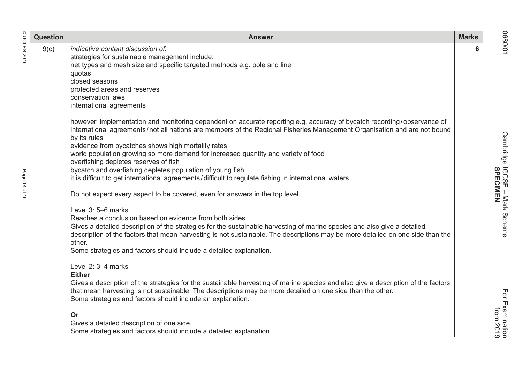|                   | <b>Question</b> | <b>Answer</b>                                                                                                                                                                                                                                                                                                                                                                                                                                                                                                                                                                                                                                                                                                  | <b>Marks</b> |                                                                |
|-------------------|-----------------|----------------------------------------------------------------------------------------------------------------------------------------------------------------------------------------------------------------------------------------------------------------------------------------------------------------------------------------------------------------------------------------------------------------------------------------------------------------------------------------------------------------------------------------------------------------------------------------------------------------------------------------------------------------------------------------------------------------|--------------|----------------------------------------------------------------|
| <b>UCLES 2016</b> | 9(c)            | indicative content discussion of:<br>strategies for sustainable management include:<br>net types and mesh size and specific targeted methods e.g. pole and line<br>quotas<br>closed seasons<br>protected areas and reserves<br>conservation laws<br>international agreements                                                                                                                                                                                                                                                                                                                                                                                                                                   | 6            | 10/0890                                                        |
| Page<br>14 of 16  |                 | however, implementation and monitoring dependent on accurate reporting e.g. accuracy of bycatch recording/observance of<br>international agreements/not all nations are members of the Regional Fisheries Management Organisation and are not bound<br>by its rules<br>evidence from bycatches shows high mortality rates<br>world population growing so more demand for increased quantity and variety of food<br>overfishing depletes reserves of fish<br>bycatch and overfishing depletes population of young fish<br>it is difficult to get international agreements/difficult to regulate fishing in international waters<br>Do not expect every aspect to be covered, even for answers in the top level. |              | Cambridge IGCSE - Mark Scheme<br>Cambridge IGCSE - Mark Scheme |
|                   |                 | Level 3: 5-6 marks<br>Reaches a conclusion based on evidence from both sides.<br>Gives a detailed description of the strategies for the sustainable harvesting of marine species and also give a detailed<br>description of the factors that mean harvesting is not sustainable. The descriptions may be more detailed on one side than the<br>other.<br>Some strategies and factors should include a detailed explanation.                                                                                                                                                                                                                                                                                    |              |                                                                |
|                   |                 | Level 2: 3-4 marks<br><b>Either</b><br>Gives a description of the strategies for the sustainable harvesting of marine species and also give a description of the factors<br>that mean harvesting is not sustainable. The descriptions may be more detailed on one side than the other.<br>Some strategies and factors should include an explanation.<br>Or<br>Gives a detailed description of one side.<br>Some strategies and factors should include a detailed explanation.                                                                                                                                                                                                                                  |              | For Examination<br>from 2019                                   |